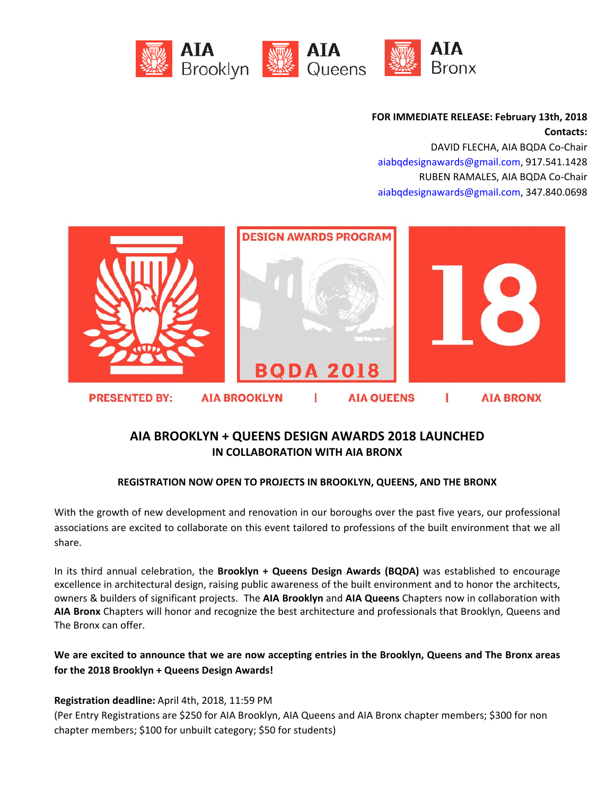

**FOR IMMEDIATE RELEASE: February 13th, 2018 Contacts:**

DAVID FLECHA, AIA BQDA Co‐Chair aiabqdesignawards@gmail.com, 917.541.1428 RUBEN RAMALES, AIA BQDA Co‐Chair aiabqdesignawards@gmail.com, 347.840.0698



# **AIA BROOKLYN + QUEENS DESIGN AWARDS 2018 LAUNCHED IN COLLABORATION WITH AIA BRONX**

### **REGISTRATION NOW OPEN TO PROJECTS IN BROOKLYN, QUEENS, AND THE BRONX**

With the growth of new development and renovation in our boroughs over the past five years, our professional associations are excited to collaborate on this event tailored to professions of the built environment that we all share.

In its third annual celebration, the **Brooklyn + Queens Design Awards (BQDA)** was established to encourage excellence in architectural design, raising public awareness of the built environment and to honor the architects, owners & builders of significant projects.The **AIA Brooklyn** and **AIA Queens** Chapters now in collaboration with **AIA Bronx** Chapters will honor and recognize the best architecture and professionals that Brooklyn, Queens and The Bronx can offer.

## We are excited to announce that we are now accepting entries in the Brooklyn, Queens and The Bronx areas **for the 2018 Brooklyn + Queens Design Awards!**

### **Registration deadline:** April 4th, 2018, 11:59 PM

(Per Entry Registrations are \$250 for AIA Brooklyn, AIA Queens and AIA Bronx chapter members; \$300 for non chapter members; \$100 for unbuilt category; \$50 for students)